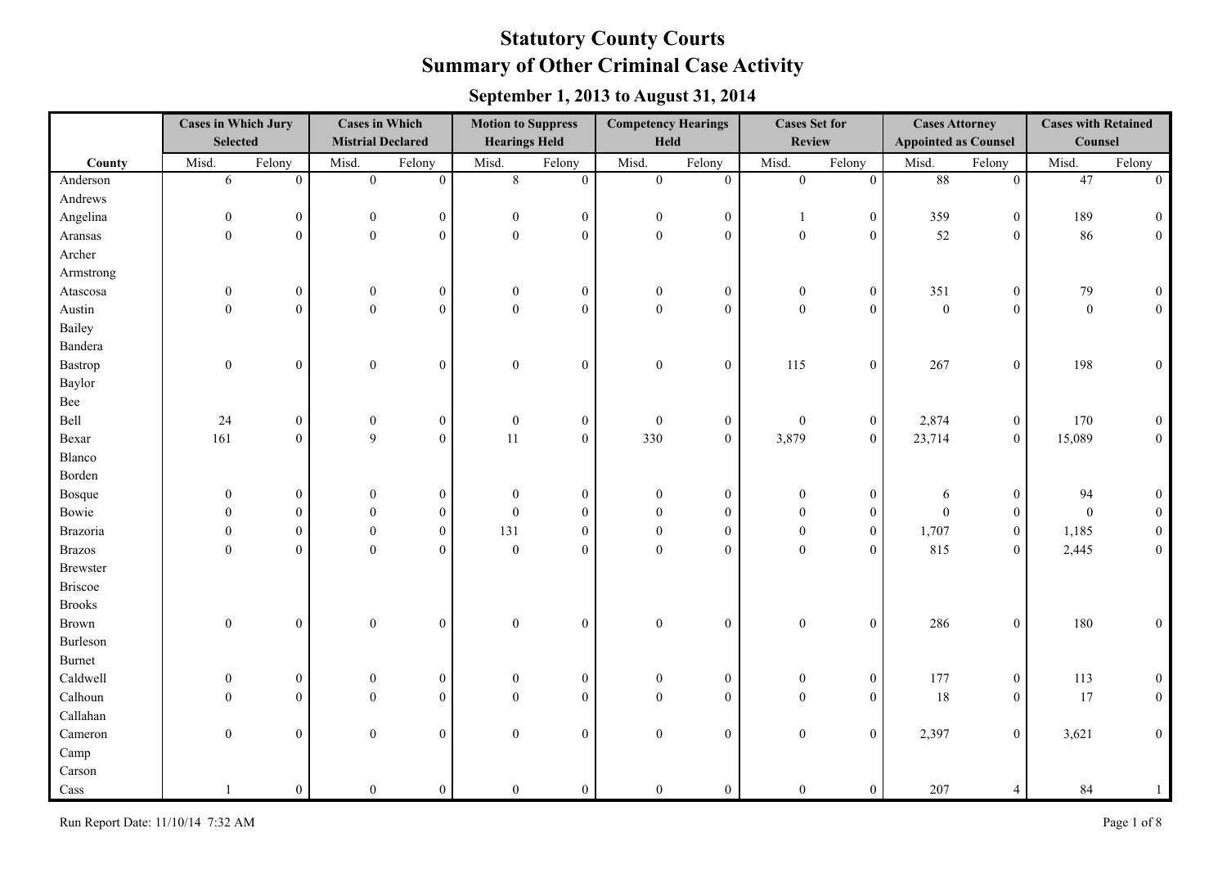|                 | <b>Cases in Which Jury</b><br><b>Selected</b> |                | <b>Cases in Which</b><br><b>Mistrial Declared</b> |                  | <b>Motion to Suppress</b><br><b>Hearings Held</b> |                  | <b>Competency Hearings</b><br>Held |                  | <b>Cases Set for</b><br><b>Review</b> |                  | <b>Cases Attorney</b><br><b>Appointed as Counsel</b> |                  | <b>Cases with Retained</b><br>Counsel |                  |
|-----------------|-----------------------------------------------|----------------|---------------------------------------------------|------------------|---------------------------------------------------|------------------|------------------------------------|------------------|---------------------------------------|------------------|------------------------------------------------------|------------------|---------------------------------------|------------------|
| County          | Misd.                                         | Felony         | Misd.                                             | Felony           | Misd.                                             | Felony           | Misd.                              | Felony           | Misd.                                 | Felony           | Misd.                                                | Felony           | Misd.                                 | Felony           |
| Anderson        | $\overline{6}$                                | $\theta$       | $\overline{0}$                                    | $\overline{0}$   | $\overline{8}$                                    | $\overline{0}$   | $\overline{0}$                     | $\overline{0}$   | $\overline{0}$                        | $\overline{0}$   | 88                                                   | $\overline{0}$   | 47                                    | $\overline{0}$   |
| Andrews         |                                               |                |                                                   |                  |                                                   |                  |                                    |                  |                                       |                  |                                                      |                  |                                       |                  |
| Angelina        | $\boldsymbol{0}$                              | $\overline{0}$ | $\boldsymbol{0}$                                  | $\mathbf{0}$     | $\overline{0}$                                    | $\boldsymbol{0}$ | $\mathbf{0}$                       | $\boldsymbol{0}$ | -1                                    | $\boldsymbol{0}$ | 359                                                  | $\boldsymbol{0}$ | 189                                   | $\boldsymbol{0}$ |
| Aransas         | $\boldsymbol{0}$                              | $\theta$       | $\overline{0}$                                    | $\theta$         | $\overline{0}$                                    | $\boldsymbol{0}$ | $\mathbf{0}$                       | $\theta$         | $\boldsymbol{0}$                      | $\boldsymbol{0}$ | 52                                                   | $\boldsymbol{0}$ | 86                                    | $\mathbf{0}$     |
| Archer          |                                               |                |                                                   |                  |                                                   |                  |                                    |                  |                                       |                  |                                                      |                  |                                       |                  |
| Armstrong       |                                               |                |                                                   |                  |                                                   |                  |                                    |                  |                                       |                  |                                                      |                  |                                       |                  |
| Atascosa        | $\mathbf{0}$                                  | $\overline{0}$ | $\mathbf{0}$                                      | $\mathbf{0}$     | $\mathbf{0}$                                      | $\boldsymbol{0}$ | $\mathbf{0}$                       | $\boldsymbol{0}$ | $\mathbf{0}$                          | $\boldsymbol{0}$ | 351                                                  | $\boldsymbol{0}$ | 79                                    | $\boldsymbol{0}$ |
| Austin          | $\boldsymbol{0}$                              | $\theta$       | $\mathbf{0}$                                      | $\theta$         | $\boldsymbol{0}$                                  | $\overline{0}$   | $\mathbf{0}$                       | $\theta$         | $\mathbf{0}$                          | $\mathbf{0}$     | $\boldsymbol{0}$                                     | $\boldsymbol{0}$ | $\boldsymbol{0}$                      | $\mathbf{0}$     |
| Bailey          |                                               |                |                                                   |                  |                                                   |                  |                                    |                  |                                       |                  |                                                      |                  |                                       |                  |
| Bandera         |                                               |                |                                                   |                  |                                                   |                  |                                    |                  |                                       |                  |                                                      |                  |                                       |                  |
| Bastrop         | $\boldsymbol{0}$                              | $\theta$       | $\mathbf{0}$                                      | $\theta$         | $\mathbf{0}$                                      | $\boldsymbol{0}$ | $\mathbf{0}$                       | $\boldsymbol{0}$ | 115                                   | $\boldsymbol{0}$ | 267                                                  | $\boldsymbol{0}$ | 198                                   | $\boldsymbol{0}$ |
| Baylor          |                                               |                |                                                   |                  |                                                   |                  |                                    |                  |                                       |                  |                                                      |                  |                                       |                  |
| Bee             |                                               |                |                                                   |                  |                                                   |                  |                                    |                  |                                       |                  |                                                      |                  |                                       |                  |
| Bell            | 24                                            | $\overline{0}$ | $\boldsymbol{0}$                                  | $\mathbf{0}$     | $\mathbf{0}$                                      | $\boldsymbol{0}$ | $\theta$                           | $\overline{0}$   | $\mathbf{0}$                          | $\boldsymbol{0}$ | 2,874                                                | $\boldsymbol{0}$ | 170                                   | $\boldsymbol{0}$ |
| Bexar           | 161                                           | $\mathbf{0}$   | 9                                                 | $\theta$         | 11                                                | $\overline{0}$   | 330                                | $\mathbf{0}$     | 3,879                                 | $\boldsymbol{0}$ | 23,714                                               | $\boldsymbol{0}$ | 15,089                                | $0\,$            |
| Blanco          |                                               |                |                                                   |                  |                                                   |                  |                                    |                  |                                       |                  |                                                      |                  |                                       |                  |
| Borden          |                                               |                |                                                   |                  |                                                   |                  |                                    |                  |                                       |                  |                                                      |                  |                                       |                  |
| <b>Bosque</b>   | $\mathbf{0}$                                  | $\overline{0}$ | $\theta$                                          | $\mathbf{0}$     | $\mathbf{0}$                                      | $\boldsymbol{0}$ | $\theta$                           | $\overline{0}$   | $\mathbf{0}$                          | $\boldsymbol{0}$ | 6                                                    | $\boldsymbol{0}$ | 94                                    | $\overline{0}$   |
| Bowie           | $\theta$                                      | $\theta$       | $\theta$                                          | $\theta$         | $\theta$                                          | $\overline{0}$   | $\Omega$                           | $\theta$         | $\theta$                              | $\boldsymbol{0}$ | $\theta$                                             | $\boldsymbol{0}$ | $\mathbf{0}$                          | $\overline{0}$   |
| <b>Brazoria</b> | $\mathbf{0}$                                  | $\overline{0}$ | $\mathbf{0}$                                      | $\mathbf{0}$     | 131                                               | $\overline{0}$   | $\theta$                           | $\theta$         | $\mathbf{0}$                          | $\boldsymbol{0}$ | 1,707                                                | $\boldsymbol{0}$ | 1,185                                 | $\boldsymbol{0}$ |
| <b>Brazos</b>   | $\boldsymbol{0}$                              | $\theta$       | $\theta$                                          | $\theta$         | $\theta$                                          | $\overline{0}$   | $\theta$                           | $\theta$         | $\boldsymbol{0}$                      | $\overline{0}$   | 815                                                  | $\boldsymbol{0}$ | 2,445                                 | $\boldsymbol{0}$ |
| <b>Brewster</b> |                                               |                |                                                   |                  |                                                   |                  |                                    |                  |                                       |                  |                                                      |                  |                                       |                  |
| <b>Briscoe</b>  |                                               |                |                                                   |                  |                                                   |                  |                                    |                  |                                       |                  |                                                      |                  |                                       |                  |
| <b>Brooks</b>   |                                               |                |                                                   |                  |                                                   |                  |                                    |                  |                                       |                  |                                                      |                  |                                       |                  |
| <b>Brown</b>    | $\boldsymbol{0}$                              | $\overline{0}$ | $\boldsymbol{0}$                                  | $\mathbf{0}$     | $\boldsymbol{0}$                                  | $\boldsymbol{0}$ | $\mathbf{0}$                       | $\boldsymbol{0}$ | $\boldsymbol{0}$                      | $\boldsymbol{0}$ | 286                                                  | $\boldsymbol{0}$ | 180                                   | $\boldsymbol{0}$ |
| Burleson        |                                               |                |                                                   |                  |                                                   |                  |                                    |                  |                                       |                  |                                                      |                  |                                       |                  |
| <b>Burnet</b>   |                                               |                |                                                   |                  |                                                   |                  |                                    |                  |                                       |                  |                                                      |                  |                                       |                  |
| Caldwell        | $\boldsymbol{0}$                              | $\mathbf{0}$   | $\boldsymbol{0}$                                  | $\boldsymbol{0}$ | $\boldsymbol{0}$                                  | $\mathbf{0}$     | $\overline{0}$                     | $\boldsymbol{0}$ | $\boldsymbol{0}$                      | $\boldsymbol{0}$ | 177                                                  | $\boldsymbol{0}$ | 113                                   | $\boldsymbol{0}$ |
| Calhoun         | $\theta$                                      | $\Omega$       | $\theta$                                          | $\mathbf{0}$     | $\theta$                                          | $\boldsymbol{0}$ | $\Omega$                           | $\mathbf{0}$     | $\Omega$                              | $\boldsymbol{0}$ | 18                                                   | $\boldsymbol{0}$ | 17                                    | $\boldsymbol{0}$ |
| Callahan        |                                               |                |                                                   |                  |                                                   |                  |                                    |                  |                                       |                  |                                                      |                  |                                       |                  |
| Cameron         | $\mathbf{0}$                                  | $\overline{0}$ | $\overline{0}$                                    | $\boldsymbol{0}$ | $\overline{0}$                                    | $\overline{0}$   | $\theta$                           | $\mathbf{0}$     | $\boldsymbol{0}$                      | $\overline{0}$   | 2,397                                                | $\boldsymbol{0}$ | 3,621                                 | $\boldsymbol{0}$ |
| Camp            |                                               |                |                                                   |                  |                                                   |                  |                                    |                  |                                       |                  |                                                      |                  |                                       |                  |
| Carson          |                                               |                |                                                   |                  |                                                   |                  |                                    |                  |                                       |                  |                                                      |                  |                                       |                  |
| Cass            |                                               | $\overline{0}$ | $\mathbf{0}$                                      | $\mathbf{0}$     | $\mathbf{0}$                                      | $\overline{0}$   | $\overline{0}$                     | $\boldsymbol{0}$ | $\boldsymbol{0}$                      | $\boldsymbol{0}$ | 207                                                  | $\overline{4}$   | 84                                    | $\mathbf{1}$     |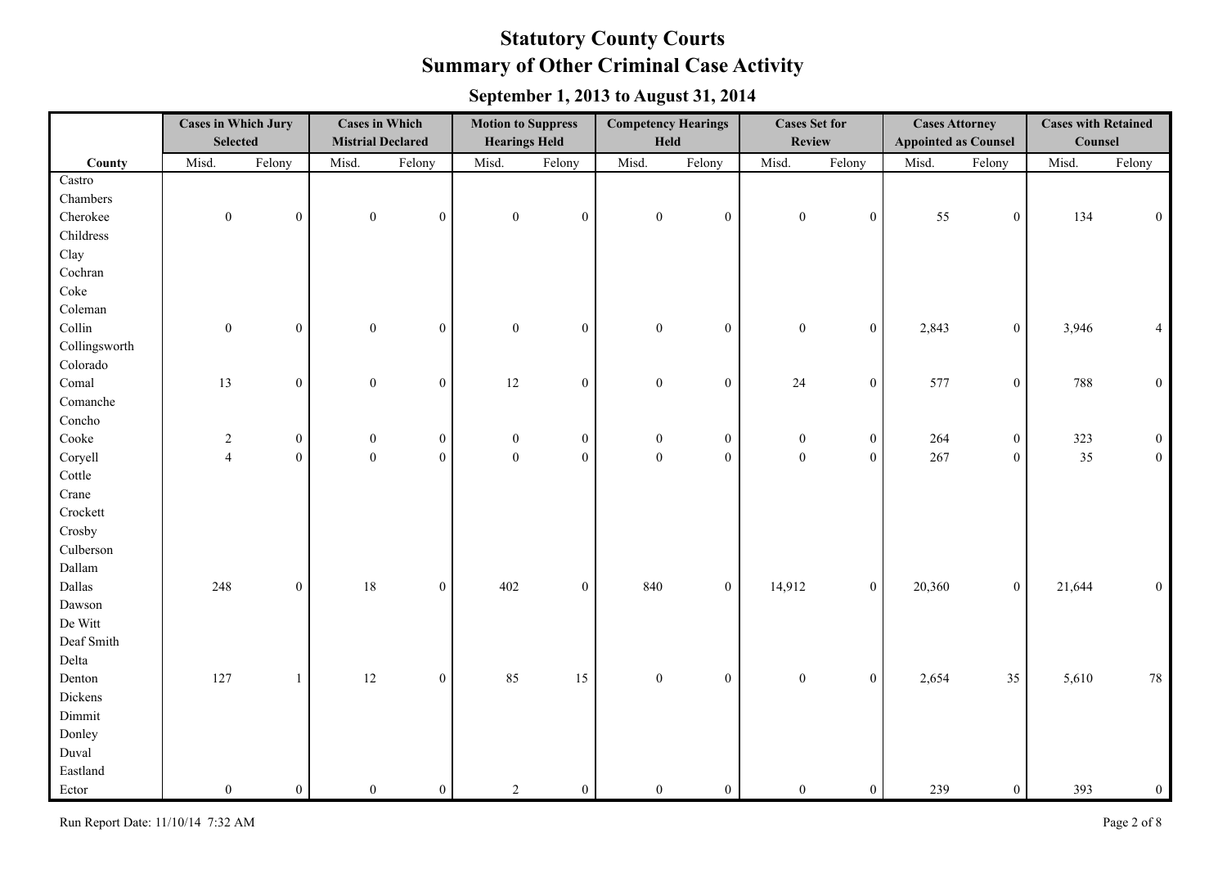|               | <b>Cases in Which Jury</b><br><b>Selected</b> |                  | <b>Cases in Which</b><br><b>Mistrial Declared</b> |                  | <b>Motion to Suppress</b><br><b>Hearings Held</b> |                | <b>Competency Hearings</b><br>Held |                  | <b>Cases Set for</b><br><b>Review</b> |                  | <b>Cases Attorney</b><br><b>Appointed as Counsel</b> |                  | <b>Cases with Retained</b><br>Counsel |                  |
|---------------|-----------------------------------------------|------------------|---------------------------------------------------|------------------|---------------------------------------------------|----------------|------------------------------------|------------------|---------------------------------------|------------------|------------------------------------------------------|------------------|---------------------------------------|------------------|
| County        | Misd.                                         | Felony           | Misd.                                             | Felony           | Misd.                                             | Felony         | Misd.                              | Felony           | Misd.                                 | Felony           | Misd.                                                | Felony           | Misd.                                 | Felony           |
| Castro        |                                               |                  |                                                   |                  |                                                   |                |                                    |                  |                                       |                  |                                                      |                  |                                       |                  |
| Chambers      |                                               |                  |                                                   |                  |                                                   |                |                                    |                  |                                       |                  |                                                      |                  |                                       |                  |
| Cherokee      | $\boldsymbol{0}$                              | $\mathbf{0}$     | $\boldsymbol{0}$                                  | $\mathbf{0}$     | $\boldsymbol{0}$                                  | $\overline{0}$ | $\mathbf{0}$                       | $\boldsymbol{0}$ | $\boldsymbol{0}$                      | $\boldsymbol{0}$ | 55                                                   | $\boldsymbol{0}$ | 134                                   | $\mathbf{0}$     |
| Childress     |                                               |                  |                                                   |                  |                                                   |                |                                    |                  |                                       |                  |                                                      |                  |                                       |                  |
| Clay          |                                               |                  |                                                   |                  |                                                   |                |                                    |                  |                                       |                  |                                                      |                  |                                       |                  |
| Cochran       |                                               |                  |                                                   |                  |                                                   |                |                                    |                  |                                       |                  |                                                      |                  |                                       |                  |
| Coke          |                                               |                  |                                                   |                  |                                                   |                |                                    |                  |                                       |                  |                                                      |                  |                                       |                  |
| Coleman       |                                               |                  |                                                   |                  |                                                   |                |                                    |                  |                                       |                  |                                                      |                  |                                       |                  |
| Collin        | $\boldsymbol{0}$                              | $\overline{0}$   | $\boldsymbol{0}$                                  | $\mathbf{0}$     | $\boldsymbol{0}$                                  | $\overline{0}$ | $\mathbf{0}$                       | $\boldsymbol{0}$ | $\boldsymbol{0}$                      | $\overline{0}$   | 2,843                                                | $\mathbf{0}$     | 3,946                                 | $\overline{4}$   |
| Collingsworth |                                               |                  |                                                   |                  |                                                   |                |                                    |                  |                                       |                  |                                                      |                  |                                       |                  |
| Colorado      |                                               |                  |                                                   |                  |                                                   |                |                                    |                  |                                       |                  |                                                      |                  |                                       |                  |
| Comal         | 13                                            | $\overline{0}$   | $\boldsymbol{0}$                                  | $\mathbf{0}$     | $12\,$                                            | $\overline{0}$ | $\boldsymbol{0}$                   | $\boldsymbol{0}$ | 24                                    | $\boldsymbol{0}$ | 577                                                  | $\boldsymbol{0}$ | 788                                   | $\boldsymbol{0}$ |
| Comanche      |                                               |                  |                                                   |                  |                                                   |                |                                    |                  |                                       |                  |                                                      |                  |                                       |                  |
| Concho        |                                               |                  |                                                   |                  |                                                   |                |                                    |                  |                                       |                  |                                                      |                  |                                       |                  |
| Cooke         | $\boldsymbol{2}$                              | $\overline{0}$   | $\boldsymbol{0}$                                  | $\boldsymbol{0}$ | $\boldsymbol{0}$                                  | $\mathbf{0}$   | $\mathbf{0}$                       | $\boldsymbol{0}$ | $\boldsymbol{0}$                      | $\boldsymbol{0}$ | 264                                                  | $\boldsymbol{0}$ | 323                                   | $\theta$         |
| Coryell       | $\overline{4}$                                | $\mathbf{0}$     | $\boldsymbol{0}$                                  | $\mathbf{0}$     | $\boldsymbol{0}$                                  | $\mathbf{0}$   | $\mathbf{0}$                       | $\boldsymbol{0}$ | $\boldsymbol{0}$                      | $\overline{0}$   | 267                                                  | $\mathbf{0}$     | 35                                    | $\boldsymbol{0}$ |
| Cottle        |                                               |                  |                                                   |                  |                                                   |                |                                    |                  |                                       |                  |                                                      |                  |                                       |                  |
| Crane         |                                               |                  |                                                   |                  |                                                   |                |                                    |                  |                                       |                  |                                                      |                  |                                       |                  |
| Crockett      |                                               |                  |                                                   |                  |                                                   |                |                                    |                  |                                       |                  |                                                      |                  |                                       |                  |
| Crosby        |                                               |                  |                                                   |                  |                                                   |                |                                    |                  |                                       |                  |                                                      |                  |                                       |                  |
| Culberson     |                                               |                  |                                                   |                  |                                                   |                |                                    |                  |                                       |                  |                                                      |                  |                                       |                  |
| Dallam        |                                               |                  |                                                   |                  |                                                   |                |                                    |                  |                                       |                  |                                                      |                  |                                       |                  |
| Dallas        | 248                                           | $\boldsymbol{0}$ | $18\,$                                            | $\mathbf{0}$     | 402                                               | $\mathbf{0}$   | 840                                | $\boldsymbol{0}$ | 14,912                                | $\mathbf{0}$     | 20,360                                               | $\mathbf{0}$     | 21,644                                | $\theta$         |
| Dawson        |                                               |                  |                                                   |                  |                                                   |                |                                    |                  |                                       |                  |                                                      |                  |                                       |                  |
| De Witt       |                                               |                  |                                                   |                  |                                                   |                |                                    |                  |                                       |                  |                                                      |                  |                                       |                  |
| Deaf Smith    |                                               |                  |                                                   |                  |                                                   |                |                                    |                  |                                       |                  |                                                      |                  |                                       |                  |
| Delta         |                                               |                  |                                                   |                  |                                                   |                |                                    |                  |                                       |                  |                                                      |                  |                                       |                  |
| Denton        | 127                                           | $\mathbf{1}$     | $12\,$                                            | $\boldsymbol{0}$ | 85                                                | 15             | $\boldsymbol{0}$                   | $\boldsymbol{0}$ | $\boldsymbol{0}$                      | $\boldsymbol{0}$ | 2,654                                                | 35               | 5,610                                 | $78\,$           |
| Dickens       |                                               |                  |                                                   |                  |                                                   |                |                                    |                  |                                       |                  |                                                      |                  |                                       |                  |
| Dimmit        |                                               |                  |                                                   |                  |                                                   |                |                                    |                  |                                       |                  |                                                      |                  |                                       |                  |
| Donley        |                                               |                  |                                                   |                  |                                                   |                |                                    |                  |                                       |                  |                                                      |                  |                                       |                  |
| Duval         |                                               |                  |                                                   |                  |                                                   |                |                                    |                  |                                       |                  |                                                      |                  |                                       |                  |
| Eastland      |                                               |                  |                                                   |                  |                                                   |                |                                    |                  |                                       |                  |                                                      |                  |                                       |                  |
| Ector         | $\overline{0}$                                | $\overline{0}$   | $\mathbf{0}$                                      | $\boldsymbol{0}$ | 2                                                 | $\overline{0}$ | $\overline{0}$                     | $\boldsymbol{0}$ | $\boldsymbol{0}$                      | $\boldsymbol{0}$ | 239                                                  | $\boldsymbol{0}$ | 393                                   | $\boldsymbol{0}$ |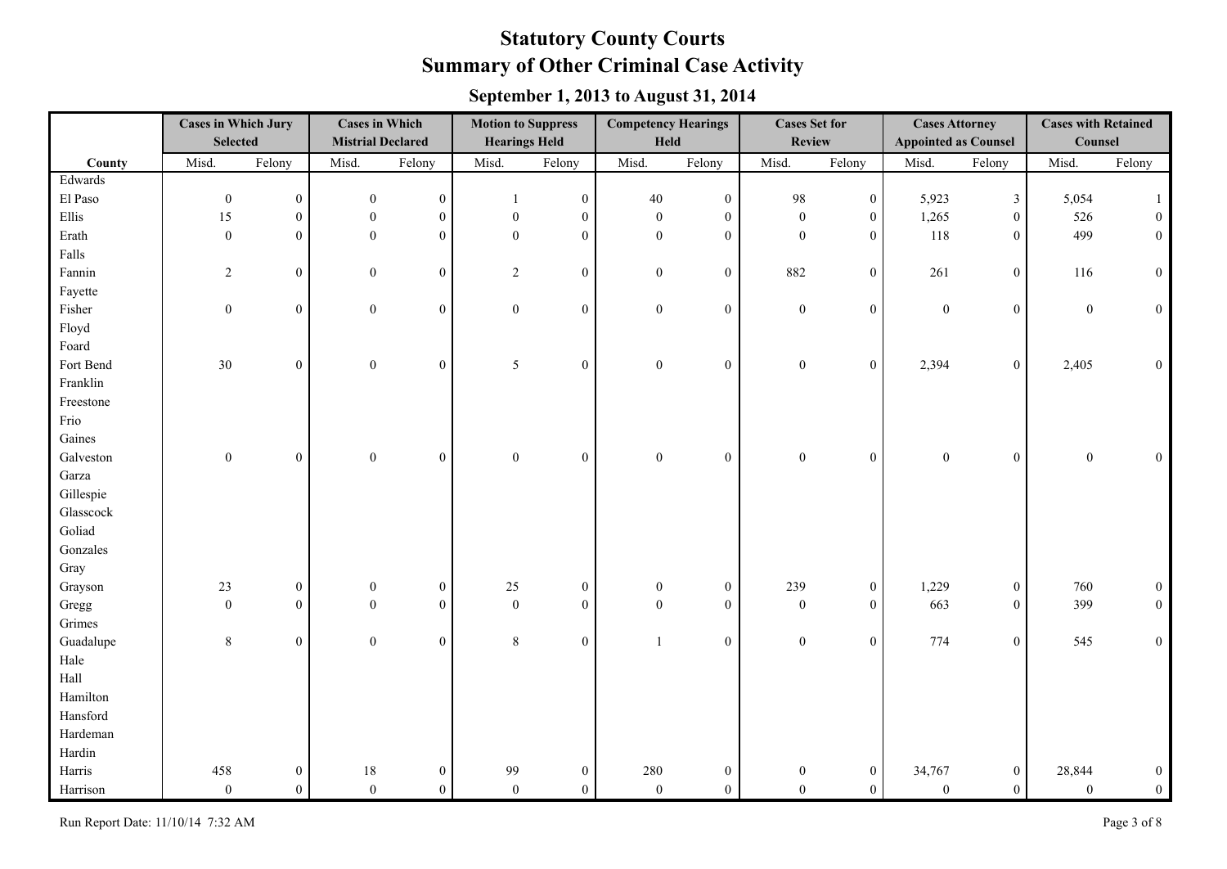|           | <b>Cases in Which Jury</b><br><b>Selected</b> |                  | <b>Cases in Which</b><br><b>Mistrial Declared</b> |                  | <b>Motion to Suppress</b><br><b>Hearings Held</b> |                  | <b>Competency Hearings</b><br>Held |                  | <b>Cases Set for</b><br><b>Review</b> |                  | <b>Cases Attorney</b><br><b>Appointed as Counsel</b> |                  | <b>Cases with Retained</b><br>Counsel |                  |
|-----------|-----------------------------------------------|------------------|---------------------------------------------------|------------------|---------------------------------------------------|------------------|------------------------------------|------------------|---------------------------------------|------------------|------------------------------------------------------|------------------|---------------------------------------|------------------|
| County    | Misd.                                         | Felony           | Misd.                                             | Felony           | Misd.                                             | Felony           | Misd.                              | Felony           | Misd.                                 | Felony           | Misd.                                                | Felony           | Misd.                                 | Felony           |
| Edwards   |                                               |                  |                                                   |                  |                                                   |                  |                                    |                  |                                       |                  |                                                      |                  |                                       |                  |
| El Paso   | $\boldsymbol{0}$                              | $\overline{0}$   | $\mathbf{0}$                                      | $\boldsymbol{0}$ | $\mathbf{1}$                                      | $\boldsymbol{0}$ | 40                                 | $\overline{0}$   | 98                                    | $\boldsymbol{0}$ | 5,923                                                | $\mathfrak{Z}$   | 5,054                                 | $\mathbf{1}$     |
| Ellis     | 15                                            | $\overline{0}$   | $\boldsymbol{0}$                                  | $\mathbf{0}$     | $\boldsymbol{0}$                                  | $\boldsymbol{0}$ | $\mathbf{0}$                       | $\mathbf{0}$     | $\boldsymbol{0}$                      | $\boldsymbol{0}$ | 1,265                                                | $\boldsymbol{0}$ | 526                                   | $\boldsymbol{0}$ |
| Erath     | $\boldsymbol{0}$                              | $\overline{0}$   | $\mathbf{0}$                                      | $\mathbf{0}$     | $\mathbf{0}$                                      | $\overline{0}$   | $\mathbf{0}$                       | $\theta$         | $\mathbf{0}$                          | $\overline{0}$   | 118                                                  | $\boldsymbol{0}$ | 499                                   | $\boldsymbol{0}$ |
| Falls     |                                               |                  |                                                   |                  |                                                   |                  |                                    |                  |                                       |                  |                                                      |                  |                                       |                  |
| Fannin    | $\overline{2}$                                | $\overline{0}$   | $\boldsymbol{0}$                                  | $\boldsymbol{0}$ | $\overline{2}$                                    | $\boldsymbol{0}$ | $\boldsymbol{0}$                   | $\overline{0}$   | 882                                   | $\boldsymbol{0}$ | 261                                                  | $\boldsymbol{0}$ | 116                                   | $\boldsymbol{0}$ |
| Fayette   |                                               |                  |                                                   |                  |                                                   |                  |                                    |                  |                                       |                  |                                                      |                  |                                       |                  |
| Fisher    | $\boldsymbol{0}$                              | $\overline{0}$   | $\boldsymbol{0}$                                  | $\mathbf{0}$     | $\boldsymbol{0}$                                  | $\overline{0}$   | $\boldsymbol{0}$                   | $\mathbf{0}$     | $\boldsymbol{0}$                      | $\boldsymbol{0}$ | $\boldsymbol{0}$                                     | $\boldsymbol{0}$ | $\boldsymbol{0}$                      | $\mathbf{0}$     |
| Floyd     |                                               |                  |                                                   |                  |                                                   |                  |                                    |                  |                                       |                  |                                                      |                  |                                       |                  |
| Foard     |                                               |                  |                                                   |                  |                                                   |                  |                                    |                  |                                       |                  |                                                      |                  |                                       |                  |
| Fort Bend | 30                                            | $\overline{0}$   | $\boldsymbol{0}$                                  | $\boldsymbol{0}$ | 5                                                 | $\overline{0}$   | $\boldsymbol{0}$                   | $\mathbf{0}$     | $\boldsymbol{0}$                      | $\boldsymbol{0}$ | 2,394                                                | $\boldsymbol{0}$ | 2,405                                 | $\boldsymbol{0}$ |
| Franklin  |                                               |                  |                                                   |                  |                                                   |                  |                                    |                  |                                       |                  |                                                      |                  |                                       |                  |
| Freestone |                                               |                  |                                                   |                  |                                                   |                  |                                    |                  |                                       |                  |                                                      |                  |                                       |                  |
| Frio      |                                               |                  |                                                   |                  |                                                   |                  |                                    |                  |                                       |                  |                                                      |                  |                                       |                  |
| Gaines    |                                               |                  |                                                   |                  |                                                   |                  |                                    |                  |                                       |                  |                                                      |                  |                                       |                  |
| Galveston | $\boldsymbol{0}$                              | $\mathbf{0}$     | $\boldsymbol{0}$                                  | $\boldsymbol{0}$ | $\boldsymbol{0}$                                  | $\boldsymbol{0}$ | $\boldsymbol{0}$                   | $\boldsymbol{0}$ | $\boldsymbol{0}$                      | $\boldsymbol{0}$ | $\boldsymbol{0}$                                     | $\boldsymbol{0}$ | $\boldsymbol{0}$                      | $\boldsymbol{0}$ |
| Garza     |                                               |                  |                                                   |                  |                                                   |                  |                                    |                  |                                       |                  |                                                      |                  |                                       |                  |
| Gillespie |                                               |                  |                                                   |                  |                                                   |                  |                                    |                  |                                       |                  |                                                      |                  |                                       |                  |
| Glasscock |                                               |                  |                                                   |                  |                                                   |                  |                                    |                  |                                       |                  |                                                      |                  |                                       |                  |
| Goliad    |                                               |                  |                                                   |                  |                                                   |                  |                                    |                  |                                       |                  |                                                      |                  |                                       |                  |
| Gonzales  |                                               |                  |                                                   |                  |                                                   |                  |                                    |                  |                                       |                  |                                                      |                  |                                       |                  |
| Gray      |                                               |                  |                                                   |                  |                                                   |                  |                                    |                  |                                       |                  |                                                      |                  |                                       |                  |
| Grayson   | 23                                            | $\boldsymbol{0}$ | $\boldsymbol{0}$                                  | $\boldsymbol{0}$ | $25\,$                                            | $\boldsymbol{0}$ | $\mathbf{0}$                       | $\boldsymbol{0}$ | 239                                   | $\boldsymbol{0}$ | 1,229                                                | $\boldsymbol{0}$ | 760                                   | $\boldsymbol{0}$ |
| Gregg     | $\boldsymbol{0}$                              | $\overline{0}$   | $\mathbf{0}$                                      | $\mathbf{0}$     | $\boldsymbol{0}$                                  | $\mathbf{0}$     | $\boldsymbol{0}$                   | $\overline{0}$   | $\boldsymbol{0}$                      | $\overline{0}$   | 663                                                  | $\boldsymbol{0}$ | 399                                   | $\boldsymbol{0}$ |
| Grimes    |                                               |                  |                                                   |                  |                                                   |                  |                                    |                  |                                       |                  |                                                      |                  |                                       |                  |
| Guadalupe | $8\,$                                         | $\overline{0}$   | $\boldsymbol{0}$                                  | $\boldsymbol{0}$ | $\,8\,$                                           | $\boldsymbol{0}$ | $\mathbf{1}$                       | $\boldsymbol{0}$ | $\boldsymbol{0}$                      | $\boldsymbol{0}$ | 774                                                  | $\boldsymbol{0}$ | 545                                   | $\boldsymbol{0}$ |
| Hale      |                                               |                  |                                                   |                  |                                                   |                  |                                    |                  |                                       |                  |                                                      |                  |                                       |                  |
| Hall      |                                               |                  |                                                   |                  |                                                   |                  |                                    |                  |                                       |                  |                                                      |                  |                                       |                  |
| Hamilton  |                                               |                  |                                                   |                  |                                                   |                  |                                    |                  |                                       |                  |                                                      |                  |                                       |                  |
| Hansford  |                                               |                  |                                                   |                  |                                                   |                  |                                    |                  |                                       |                  |                                                      |                  |                                       |                  |
| Hardeman  |                                               |                  |                                                   |                  |                                                   |                  |                                    |                  |                                       |                  |                                                      |                  |                                       |                  |
| Hardin    |                                               |                  |                                                   |                  |                                                   |                  |                                    |                  |                                       |                  |                                                      |                  |                                       |                  |
| Harris    | 458                                           | $\boldsymbol{0}$ | $18\,$                                            | $\boldsymbol{0}$ | 99                                                | $\boldsymbol{0}$ | 280                                | $\boldsymbol{0}$ | $\boldsymbol{0}$                      | $\boldsymbol{0}$ | 34,767                                               | $\boldsymbol{0}$ | 28,844                                | $\boldsymbol{0}$ |
| Harrison  | $\boldsymbol{0}$                              | $\overline{0}$   | $\boldsymbol{0}$                                  | $\boldsymbol{0}$ | $\boldsymbol{0}$                                  | $\overline{0}$   | $\mathbf{0}$                       | $\mathbf{0}$     | $\boldsymbol{0}$                      | $\boldsymbol{0}$ | $\boldsymbol{0}$                                     | $\boldsymbol{0}$ | $\boldsymbol{0}$                      | $\mathbf{0}$     |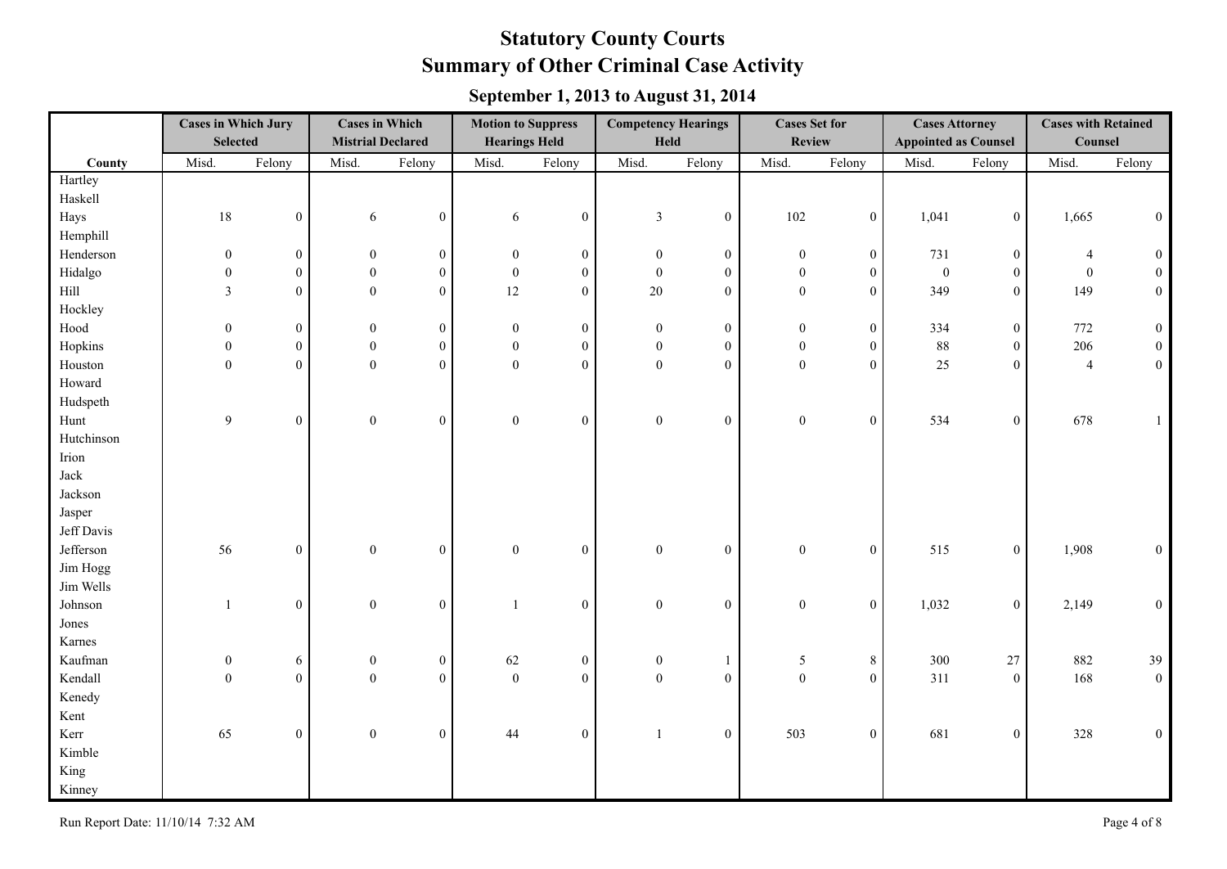|            | <b>Cases in Which Jury</b><br><b>Selected</b> |                  | <b>Cases in Which</b><br><b>Mistrial Declared</b> |                  | <b>Motion to Suppress</b><br><b>Hearings Held</b> |                  | <b>Competency Hearings</b><br>Held |                  | <b>Cases Set for</b><br><b>Review</b> |                  | <b>Cases Attorney</b><br><b>Appointed as Counsel</b> |                  | <b>Cases with Retained</b><br>Counsel |                  |
|------------|-----------------------------------------------|------------------|---------------------------------------------------|------------------|---------------------------------------------------|------------------|------------------------------------|------------------|---------------------------------------|------------------|------------------------------------------------------|------------------|---------------------------------------|------------------|
| County     | Misd.                                         | Felony           | Misd.                                             | Felony           | Misd.                                             | Felony           | Misd.                              | Felony           | Misd.                                 | Felony           | Misd.                                                | Felony           | Misd.                                 | Felony           |
| Hartley    |                                               |                  |                                                   |                  |                                                   |                  |                                    |                  |                                       |                  |                                                      |                  |                                       |                  |
| Haskell    |                                               |                  |                                                   |                  |                                                   |                  |                                    |                  |                                       |                  |                                                      |                  |                                       |                  |
| Hays       | $18\,$                                        | $\boldsymbol{0}$ | 6                                                 | $\boldsymbol{0}$ | 6                                                 | $\boldsymbol{0}$ | $\mathfrak{Z}$                     | $\boldsymbol{0}$ | 102                                   | $\mathbf{0}$     | 1,041                                                | $\boldsymbol{0}$ | 1,665                                 | $\mathbf{0}$     |
| Hemphill   |                                               |                  |                                                   |                  |                                                   |                  |                                    |                  |                                       |                  |                                                      |                  |                                       |                  |
| Henderson  | $\boldsymbol{0}$                              | $\mathbf{0}$     | $\boldsymbol{0}$                                  | $\mathbf{0}$     | $\mathbf{0}$                                      | $\boldsymbol{0}$ | $\overline{0}$                     | $\boldsymbol{0}$ | $\boldsymbol{0}$                      | $\boldsymbol{0}$ | 731                                                  | $\boldsymbol{0}$ | 4                                     | $\mathbf{0}$     |
| Hidalgo    | $\boldsymbol{0}$                              | $\mathbf{0}$     | $\mathbf{0}$                                      | $\overline{0}$   | $\boldsymbol{0}$                                  | $\overline{0}$   | $\overline{0}$                     | $\mathbf{0}$     | $\boldsymbol{0}$                      | $\mathbf{0}$     | $\mathbf{0}$                                         | $\boldsymbol{0}$ | $\overline{0}$                        | $\Omega$         |
| Hill       | $\overline{3}$                                | $\mathbf{0}$     | $\theta$                                          | $\overline{0}$   | 12                                                | $\overline{0}$   | $20\,$                             | $\theta$         | $\boldsymbol{0}$                      | $\overline{0}$   | 349                                                  | $\boldsymbol{0}$ | 149                                   | $\boldsymbol{0}$ |
| Hockley    |                                               |                  |                                                   |                  |                                                   |                  |                                    |                  |                                       |                  |                                                      |                  |                                       |                  |
| Hood       | $\overline{0}$                                | $\mathbf{0}$     | $\boldsymbol{0}$                                  | $\mathbf{0}$     | $\mathbf{0}$                                      | $\boldsymbol{0}$ | $\overline{0}$                     | $\boldsymbol{0}$ | $\boldsymbol{0}$                      | $\boldsymbol{0}$ | 334                                                  | $\boldsymbol{0}$ | 772                                   | $\theta$         |
| Hopkins    | $\boldsymbol{0}$                              | $\boldsymbol{0}$ | $\boldsymbol{0}$                                  | $\mathbf{0}$     | $\boldsymbol{0}$                                  | $\boldsymbol{0}$ | $\mathbf{0}$                       | $\mathbf{0}$     | $\boldsymbol{0}$                      | $\boldsymbol{0}$ | $88\,$                                               | $\boldsymbol{0}$ | 206                                   | $\boldsymbol{0}$ |
| Houston    | $\boldsymbol{0}$                              | $\boldsymbol{0}$ | $\boldsymbol{0}$                                  | $\overline{0}$   | $\mathbf{0}$                                      | $\overline{0}$   | $\boldsymbol{0}$                   | $\mathbf{0}$     | $\boldsymbol{0}$                      | $\mathbf{0}$     | 25                                                   | $\boldsymbol{0}$ | $\overline{4}$                        | $\boldsymbol{0}$ |
| Howard     |                                               |                  |                                                   |                  |                                                   |                  |                                    |                  |                                       |                  |                                                      |                  |                                       |                  |
| Hudspeth   |                                               |                  |                                                   |                  |                                                   |                  |                                    |                  |                                       |                  |                                                      |                  |                                       |                  |
| Hunt       | 9                                             | $\boldsymbol{0}$ | $\boldsymbol{0}$                                  | $\boldsymbol{0}$ | $\boldsymbol{0}$                                  | $\boldsymbol{0}$ | $\boldsymbol{0}$                   | $\mathbf{0}$     | $\boldsymbol{0}$                      | $\mathbf{0}$     | 534                                                  | $\boldsymbol{0}$ | 678                                   |                  |
| Hutchinson |                                               |                  |                                                   |                  |                                                   |                  |                                    |                  |                                       |                  |                                                      |                  |                                       |                  |
| Irion      |                                               |                  |                                                   |                  |                                                   |                  |                                    |                  |                                       |                  |                                                      |                  |                                       |                  |
| Jack       |                                               |                  |                                                   |                  |                                                   |                  |                                    |                  |                                       |                  |                                                      |                  |                                       |                  |
| Jackson    |                                               |                  |                                                   |                  |                                                   |                  |                                    |                  |                                       |                  |                                                      |                  |                                       |                  |
| Jasper     |                                               |                  |                                                   |                  |                                                   |                  |                                    |                  |                                       |                  |                                                      |                  |                                       |                  |
| Jeff Davis |                                               |                  |                                                   |                  |                                                   |                  |                                    |                  |                                       |                  |                                                      |                  |                                       |                  |
| Jefferson  | 56                                            | $\boldsymbol{0}$ | $\boldsymbol{0}$                                  | $\boldsymbol{0}$ | $\boldsymbol{0}$                                  | $\boldsymbol{0}$ | $\boldsymbol{0}$                   | $\boldsymbol{0}$ | $\boldsymbol{0}$                      | $\mathbf{0}$     | 515                                                  | $\mathbf{0}$     | 1,908                                 | $\boldsymbol{0}$ |
| Jim Hogg   |                                               |                  |                                                   |                  |                                                   |                  |                                    |                  |                                       |                  |                                                      |                  |                                       |                  |
| Jim Wells  |                                               |                  |                                                   |                  |                                                   |                  |                                    |                  |                                       |                  |                                                      |                  |                                       |                  |
| Johnson    | $\mathbf{1}$                                  | $\mathbf{0}$     | $\boldsymbol{0}$                                  | $\overline{0}$   | $\mathbf{1}$                                      | $\mathbf{0}$     | $\overline{0}$                     | $\mathbf{0}$     | $\boldsymbol{0}$                      | $\mathbf{0}$     | 1,032                                                | $\boldsymbol{0}$ | 2,149                                 | $\theta$         |
| Jones      |                                               |                  |                                                   |                  |                                                   |                  |                                    |                  |                                       |                  |                                                      |                  |                                       |                  |
| Karnes     |                                               |                  |                                                   |                  |                                                   |                  |                                    |                  |                                       |                  |                                                      |                  |                                       |                  |
| Kaufman    | $\boldsymbol{0}$                              | 6                | $\boldsymbol{0}$                                  | $\overline{0}$   | 62                                                | $\boldsymbol{0}$ | $\mathbf{0}$                       | $\mathbf{1}$     | 5                                     | $8\,$            | 300                                                  | 27               | 882                                   | 39               |
| Kendall    | $\overline{0}$                                | $\boldsymbol{0}$ | $\mathbf{0}$                                      | $\overline{0}$   | $\boldsymbol{0}$                                  | $\overline{0}$   | $\overline{0}$                     | $\mathbf{0}$     | $\boldsymbol{0}$                      | $\overline{0}$   | 311                                                  | $\boldsymbol{0}$ | 168                                   | $\boldsymbol{0}$ |
| Kenedy     |                                               |                  |                                                   |                  |                                                   |                  |                                    |                  |                                       |                  |                                                      |                  |                                       |                  |
| Kent       |                                               |                  |                                                   |                  |                                                   |                  |                                    |                  |                                       |                  |                                                      |                  |                                       |                  |
| Kerr       | 65                                            | $\boldsymbol{0}$ | $\boldsymbol{0}$                                  | $\overline{0}$   | 44                                                | $\boldsymbol{0}$ | $\overline{1}$                     | $\boldsymbol{0}$ | 503                                   | $\overline{0}$   | 681                                                  | $\boldsymbol{0}$ | 328                                   | $\boldsymbol{0}$ |
| Kimble     |                                               |                  |                                                   |                  |                                                   |                  |                                    |                  |                                       |                  |                                                      |                  |                                       |                  |
| King       |                                               |                  |                                                   |                  |                                                   |                  |                                    |                  |                                       |                  |                                                      |                  |                                       |                  |
| Kinney     |                                               |                  |                                                   |                  |                                                   |                  |                                    |                  |                                       |                  |                                                      |                  |                                       |                  |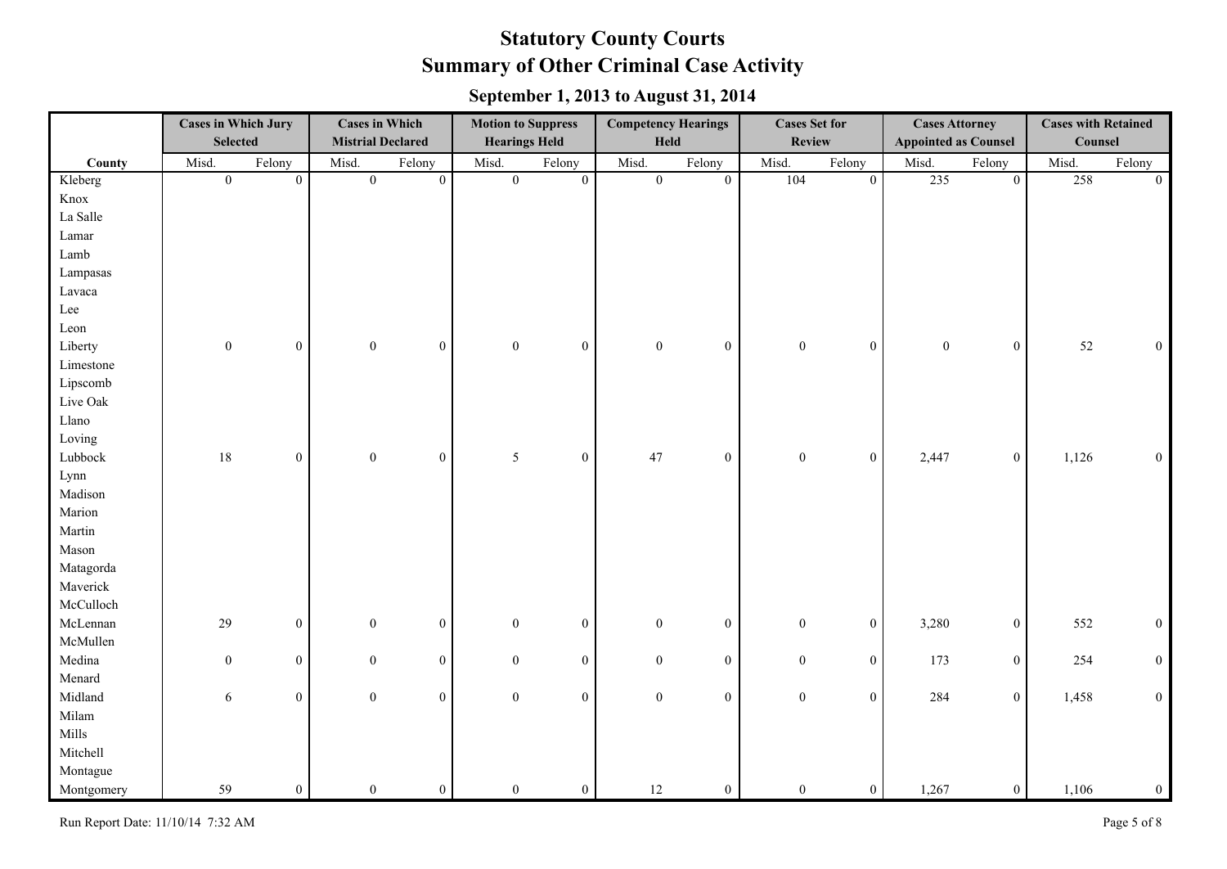|            | <b>Cases in Which Jury</b><br><b>Selected</b> |                | <b>Cases in Which</b><br><b>Mistrial Declared</b> |                  | <b>Motion to Suppress</b><br><b>Hearings Held</b> |                  | <b>Competency Hearings</b><br>Held |                  | <b>Cases Set for</b><br><b>Review</b> |                          | <b>Cases Attorney</b><br><b>Appointed as Counsel</b> |                  | <b>Cases with Retained</b><br>Counsel |                  |
|------------|-----------------------------------------------|----------------|---------------------------------------------------|------------------|---------------------------------------------------|------------------|------------------------------------|------------------|---------------------------------------|--------------------------|------------------------------------------------------|------------------|---------------------------------------|------------------|
|            |                                               |                |                                                   |                  |                                                   |                  |                                    |                  |                                       |                          |                                                      |                  |                                       |                  |
| County     | Misd.                                         | Felony         | Misd.                                             | Felony           | Misd.                                             | Felony           | Misd.<br>$\overline{0}$            | Felony           | Misd.                                 | Felony<br>$\overline{0}$ | Misd.                                                | Felony           | Misd.                                 | Felony           |
| Kleberg    | $\overline{0}$                                | $\overline{0}$ | $\overline{0}$                                    | $\overline{0}$   | $\overline{0}$                                    | $\overline{0}$   |                                    | $\mathbf{0}$     | 104                                   |                          | 235                                                  | $\boldsymbol{0}$ | 258                                   | $\overline{0}$   |
| Knox       |                                               |                |                                                   |                  |                                                   |                  |                                    |                  |                                       |                          |                                                      |                  |                                       |                  |
| La Salle   |                                               |                |                                                   |                  |                                                   |                  |                                    |                  |                                       |                          |                                                      |                  |                                       |                  |
| Lamar      |                                               |                |                                                   |                  |                                                   |                  |                                    |                  |                                       |                          |                                                      |                  |                                       |                  |
| Lamb       |                                               |                |                                                   |                  |                                                   |                  |                                    |                  |                                       |                          |                                                      |                  |                                       |                  |
| Lampasas   |                                               |                |                                                   |                  |                                                   |                  |                                    |                  |                                       |                          |                                                      |                  |                                       |                  |
| Lavaca     |                                               |                |                                                   |                  |                                                   |                  |                                    |                  |                                       |                          |                                                      |                  |                                       |                  |
| Lee        |                                               |                |                                                   |                  |                                                   |                  |                                    |                  |                                       |                          |                                                      |                  |                                       |                  |
| Leon       |                                               |                |                                                   |                  |                                                   |                  |                                    |                  |                                       |                          |                                                      |                  |                                       |                  |
| Liberty    | $\boldsymbol{0}$                              | $\overline{0}$ | $\mathbf{0}$                                      | $\mathbf{0}$     | $\mathbf{0}$                                      | $\mathbf{0}$     | $\mathbf{0}$                       | $\boldsymbol{0}$ | $\boldsymbol{0}$                      | $\boldsymbol{0}$         | $\boldsymbol{0}$                                     | $\boldsymbol{0}$ | 52                                    | $\boldsymbol{0}$ |
| Limestone  |                                               |                |                                                   |                  |                                                   |                  |                                    |                  |                                       |                          |                                                      |                  |                                       |                  |
| Lipscomb   |                                               |                |                                                   |                  |                                                   |                  |                                    |                  |                                       |                          |                                                      |                  |                                       |                  |
| Live Oak   |                                               |                |                                                   |                  |                                                   |                  |                                    |                  |                                       |                          |                                                      |                  |                                       |                  |
| Llano      |                                               |                |                                                   |                  |                                                   |                  |                                    |                  |                                       |                          |                                                      |                  |                                       |                  |
| Loving     |                                               |                |                                                   |                  |                                                   |                  |                                    |                  |                                       |                          |                                                      |                  |                                       |                  |
| Lubbock    | 18                                            | $\overline{0}$ | $\boldsymbol{0}$                                  | $\boldsymbol{0}$ | $\mathfrak{S}$                                    | $\mathbf{0}$     | 47                                 | $\boldsymbol{0}$ | $\boldsymbol{0}$                      | $\mathbf{0}$             | 2,447                                                | $\boldsymbol{0}$ | 1,126                                 | $\boldsymbol{0}$ |
| Lynn       |                                               |                |                                                   |                  |                                                   |                  |                                    |                  |                                       |                          |                                                      |                  |                                       |                  |
| Madison    |                                               |                |                                                   |                  |                                                   |                  |                                    |                  |                                       |                          |                                                      |                  |                                       |                  |
| Marion     |                                               |                |                                                   |                  |                                                   |                  |                                    |                  |                                       |                          |                                                      |                  |                                       |                  |
| Martin     |                                               |                |                                                   |                  |                                                   |                  |                                    |                  |                                       |                          |                                                      |                  |                                       |                  |
| Mason      |                                               |                |                                                   |                  |                                                   |                  |                                    |                  |                                       |                          |                                                      |                  |                                       |                  |
| Matagorda  |                                               |                |                                                   |                  |                                                   |                  |                                    |                  |                                       |                          |                                                      |                  |                                       |                  |
| Maverick   |                                               |                |                                                   |                  |                                                   |                  |                                    |                  |                                       |                          |                                                      |                  |                                       |                  |
| McCulloch  |                                               |                |                                                   |                  |                                                   |                  |                                    |                  |                                       |                          |                                                      |                  |                                       |                  |
| McLennan   | 29                                            | $\overline{0}$ | $\mathbf{0}$                                      | $\boldsymbol{0}$ | $\boldsymbol{0}$                                  | $\mathbf{0}$     | $\mathbf{0}$                       | $\boldsymbol{0}$ | $\boldsymbol{0}$                      | $\mathbf{0}$             | 3,280                                                | $\boldsymbol{0}$ | 552                                   | $\boldsymbol{0}$ |
| McMullen   |                                               |                |                                                   |                  |                                                   |                  |                                    |                  |                                       |                          |                                                      |                  |                                       |                  |
| Medina     | $\mathbf{0}$                                  | $\overline{0}$ | $\mathbf{0}$                                      | $\boldsymbol{0}$ | $\mathbf{0}$                                      | $\mathbf{0}$     | $\overline{0}$                     | $\boldsymbol{0}$ | $\boldsymbol{0}$                      | $\overline{0}$           | 173                                                  | $\boldsymbol{0}$ | 254                                   | $\boldsymbol{0}$ |
| Menard     |                                               |                |                                                   |                  |                                                   |                  |                                    |                  |                                       |                          |                                                      |                  |                                       |                  |
| Midland    | $\sqrt{6}$                                    | $\overline{0}$ | $\mathbf{0}$                                      | $\boldsymbol{0}$ | $\mathbf{0}$                                      | $\boldsymbol{0}$ | $\mathbf{0}$                       | $\boldsymbol{0}$ | $\boldsymbol{0}$                      | $\boldsymbol{0}$         | 284                                                  | $\boldsymbol{0}$ | 1,458                                 | $\boldsymbol{0}$ |
| Milam      |                                               |                |                                                   |                  |                                                   |                  |                                    |                  |                                       |                          |                                                      |                  |                                       |                  |
| Mills      |                                               |                |                                                   |                  |                                                   |                  |                                    |                  |                                       |                          |                                                      |                  |                                       |                  |
| Mitchell   |                                               |                |                                                   |                  |                                                   |                  |                                    |                  |                                       |                          |                                                      |                  |                                       |                  |
| Montague   |                                               |                |                                                   |                  |                                                   |                  |                                    |                  |                                       |                          |                                                      |                  |                                       |                  |
| Montgomery | 59                                            | $\overline{0}$ | $\overline{0}$                                    | $\boldsymbol{0}$ | $\overline{0}$                                    | $\overline{0}$   | $12\,$                             | $\boldsymbol{0}$ | $\boldsymbol{0}$                      | $\mathbf{0}$             | 1,267                                                | $\boldsymbol{0}$ | 1,106                                 | $\boldsymbol{0}$ |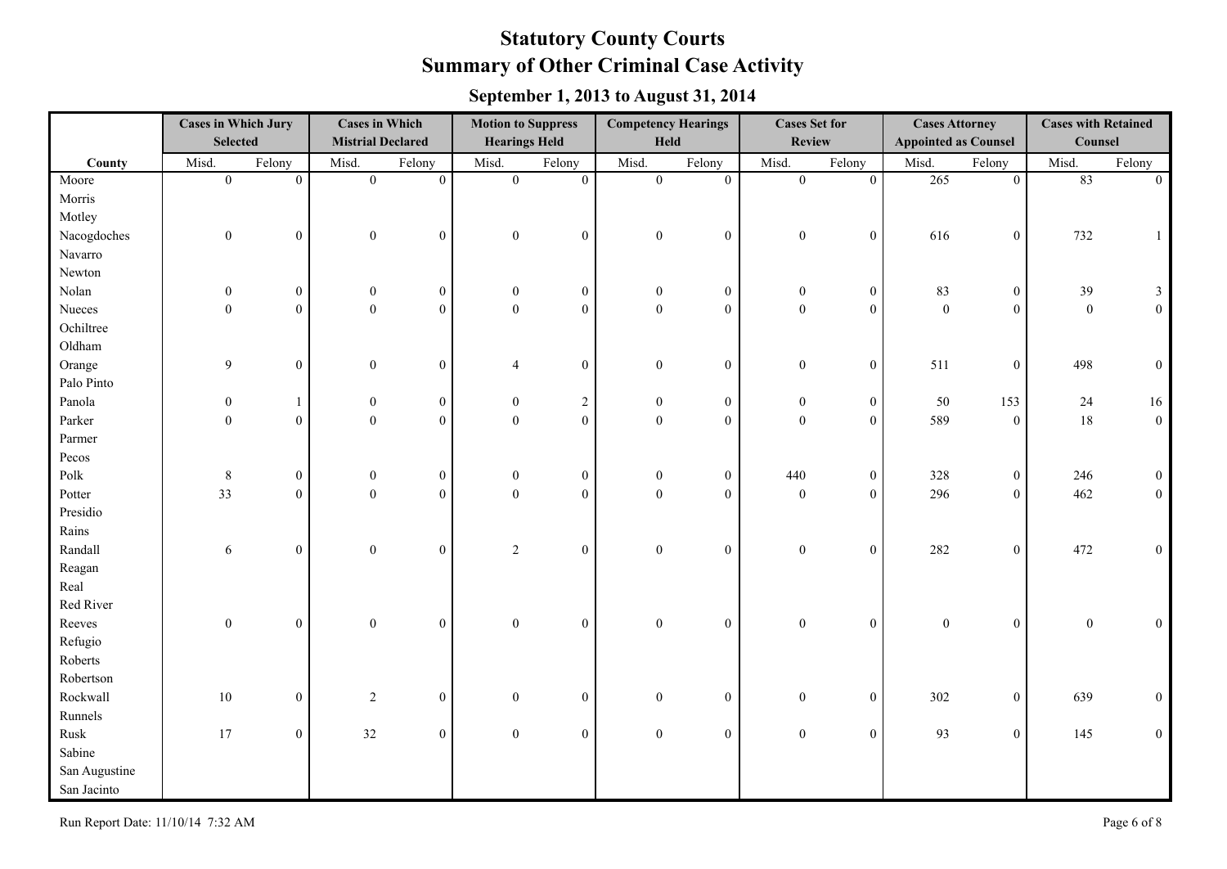|               | <b>Cases in Which Jury</b><br><b>Selected</b> |                  | <b>Cases in Which</b><br><b>Mistrial Declared</b> |                  | <b>Motion to Suppress</b><br><b>Hearings Held</b> |                  | <b>Competency Hearings</b><br>Held |                  | <b>Cases Set for</b><br><b>Review</b> |                  | <b>Cases Attorney</b><br><b>Appointed as Counsel</b> |                  | <b>Cases with Retained</b><br>Counsel |                  |
|---------------|-----------------------------------------------|------------------|---------------------------------------------------|------------------|---------------------------------------------------|------------------|------------------------------------|------------------|---------------------------------------|------------------|------------------------------------------------------|------------------|---------------------------------------|------------------|
| County        | Misd.                                         | Felony           | Misd.                                             | Felony           | Misd.                                             | Felony           | Misd.                              | Felony           | Misd.                                 | Felony           | Misd.                                                | Felony           | Misd.                                 | Felony           |
| Moore         | $\overline{0}$                                | $\overline{0}$   | $\overline{0}$                                    | $\overline{0}$   | $\overline{0}$                                    | $\overline{0}$   | $\overline{0}$                     | $\overline{0}$   | $\overline{0}$                        | $\overline{0}$   | 265                                                  | $\overline{0}$   | 83                                    | $\mathbf{0}$     |
| Morris        |                                               |                  |                                                   |                  |                                                   |                  |                                    |                  |                                       |                  |                                                      |                  |                                       |                  |
| Motley        |                                               |                  |                                                   |                  |                                                   |                  |                                    |                  |                                       |                  |                                                      |                  |                                       |                  |
| Nacogdoches   | $\boldsymbol{0}$                              | $\overline{0}$   | $\boldsymbol{0}$                                  | $\overline{0}$   | $\boldsymbol{0}$                                  | $\boldsymbol{0}$ | $\boldsymbol{0}$                   | $\boldsymbol{0}$ | $\boldsymbol{0}$                      | $\boldsymbol{0}$ | 616                                                  | $\boldsymbol{0}$ | 732                                   | $\mathbf{1}$     |
| Navarro       |                                               |                  |                                                   |                  |                                                   |                  |                                    |                  |                                       |                  |                                                      |                  |                                       |                  |
| Newton        |                                               |                  |                                                   |                  |                                                   |                  |                                    |                  |                                       |                  |                                                      |                  |                                       |                  |
| Nolan         | $\boldsymbol{0}$                              | $\overline{0}$   | $\boldsymbol{0}$                                  | $\mathbf{0}$     | $\boldsymbol{0}$                                  | $\boldsymbol{0}$ | $\overline{0}$                     | $\boldsymbol{0}$ | $\mathbf{0}$                          | $\boldsymbol{0}$ | 83                                                   | $\boldsymbol{0}$ | 39                                    | $\mathfrak{Z}$   |
| Nueces        | $\boldsymbol{0}$                              | $\overline{0}$   | $\boldsymbol{0}$                                  | $\theta$         | $\mathbf{0}$                                      | $\overline{0}$   | $\overline{0}$                     | $\theta$         | $\boldsymbol{0}$                      | $\overline{0}$   | $\boldsymbol{0}$                                     | $\mathbf{0}$     | $\mathbf{0}$                          | $\boldsymbol{0}$ |
| Ochiltree     |                                               |                  |                                                   |                  |                                                   |                  |                                    |                  |                                       |                  |                                                      |                  |                                       |                  |
| Oldham        |                                               |                  |                                                   |                  |                                                   |                  |                                    |                  |                                       |                  |                                                      |                  |                                       |                  |
| Orange        | 9                                             | $\overline{0}$   | $\boldsymbol{0}$                                  | $\mathbf{0}$     | $\overline{4}$                                    | $\overline{0}$   | $\overline{0}$                     | $\mathbf{0}$     | $\mathbf{0}$                          | $\boldsymbol{0}$ | 511                                                  | $\boldsymbol{0}$ | 498                                   | $\boldsymbol{0}$ |
| Palo Pinto    |                                               |                  |                                                   |                  |                                                   |                  |                                    |                  |                                       |                  |                                                      |                  |                                       |                  |
| Panola        | $\boldsymbol{0}$                              | 1                | $\boldsymbol{0}$                                  | $\boldsymbol{0}$ | $\boldsymbol{0}$                                  | $\sqrt{2}$       | $\mathbf{0}$                       | $\boldsymbol{0}$ | $\boldsymbol{0}$                      | $\boldsymbol{0}$ | 50                                                   | 153              | 24                                    | $16\,$           |
| Parker        | $\boldsymbol{0}$                              | $\overline{0}$   | $\boldsymbol{0}$                                  | $\theta$         | $\boldsymbol{0}$                                  | $\mathbf{0}$     | $\overline{0}$                     | $\mathbf{0}$     | $\mathbf{0}$                          | $\boldsymbol{0}$ | 589                                                  | $\boldsymbol{0}$ | $18\,$                                | $\mathbf{0}$     |
| Parmer        |                                               |                  |                                                   |                  |                                                   |                  |                                    |                  |                                       |                  |                                                      |                  |                                       |                  |
| Pecos         |                                               |                  |                                                   |                  |                                                   |                  |                                    |                  |                                       |                  |                                                      |                  |                                       |                  |
| Polk          | $8\,$                                         | $\boldsymbol{0}$ | $\boldsymbol{0}$                                  | $\boldsymbol{0}$ | $\boldsymbol{0}$                                  | $\boldsymbol{0}$ | $\mathbf{0}$                       | $\boldsymbol{0}$ | 440                                   | $\boldsymbol{0}$ | 328                                                  | $\boldsymbol{0}$ | 246                                   | $\boldsymbol{0}$ |
| Potter        | 33                                            | $\overline{0}$   | $\boldsymbol{0}$                                  | $\mathbf{0}$     | $\mathbf{0}$                                      | $\overline{0}$   | $\boldsymbol{0}$                   | $\mathbf{0}$     | $\boldsymbol{0}$                      | $\boldsymbol{0}$ | 296                                                  | $\boldsymbol{0}$ | 462                                   | $\boldsymbol{0}$ |
| Presidio      |                                               |                  |                                                   |                  |                                                   |                  |                                    |                  |                                       |                  |                                                      |                  |                                       |                  |
| Rains         |                                               |                  |                                                   |                  |                                                   |                  |                                    |                  |                                       |                  |                                                      |                  |                                       |                  |
| Randall       | 6                                             | $\overline{0}$   | $\boldsymbol{0}$                                  | $\mathbf{0}$     | 2                                                 | $\overline{0}$   | $\boldsymbol{0}$                   | $\overline{0}$   | $\boldsymbol{0}$                      | $\boldsymbol{0}$ | 282                                                  | $\boldsymbol{0}$ | 472                                   | $\boldsymbol{0}$ |
| Reagan        |                                               |                  |                                                   |                  |                                                   |                  |                                    |                  |                                       |                  |                                                      |                  |                                       |                  |
| Real          |                                               |                  |                                                   |                  |                                                   |                  |                                    |                  |                                       |                  |                                                      |                  |                                       |                  |
| Red River     |                                               |                  |                                                   |                  |                                                   |                  |                                    |                  |                                       |                  |                                                      |                  |                                       |                  |
| Reeves        | $\boldsymbol{0}$                              | $\overline{0}$   | $\boldsymbol{0}$                                  | $\mathbf{0}$     | $\boldsymbol{0}$                                  | $\overline{0}$   | $\boldsymbol{0}$                   | $\overline{0}$   | $\boldsymbol{0}$                      | $\boldsymbol{0}$ | $\mathbf{0}$                                         | $\boldsymbol{0}$ | $\boldsymbol{0}$                      | $\boldsymbol{0}$ |
| Refugio       |                                               |                  |                                                   |                  |                                                   |                  |                                    |                  |                                       |                  |                                                      |                  |                                       |                  |
| Roberts       |                                               |                  |                                                   |                  |                                                   |                  |                                    |                  |                                       |                  |                                                      |                  |                                       |                  |
| Robertson     |                                               |                  |                                                   |                  |                                                   |                  |                                    |                  |                                       |                  |                                                      |                  |                                       |                  |
| Rockwall      | 10                                            | $\overline{0}$   | 2                                                 | $\overline{0}$   | $\boldsymbol{0}$                                  | $\overline{0}$   | $\overline{0}$                     | $\boldsymbol{0}$ | $\overline{0}$                        | $\boldsymbol{0}$ | 302                                                  | $\boldsymbol{0}$ | 639                                   | $\boldsymbol{0}$ |
| Runnels       |                                               |                  |                                                   |                  |                                                   |                  |                                    |                  |                                       |                  |                                                      |                  |                                       |                  |
| Rusk          | 17                                            | $\boldsymbol{0}$ | 32                                                | $\boldsymbol{0}$ | $\boldsymbol{0}$                                  | $\boldsymbol{0}$ | $\mathbf{0}$                       | $\boldsymbol{0}$ | $\boldsymbol{0}$                      | $\boldsymbol{0}$ | 93                                                   | $\boldsymbol{0}$ | 145                                   | $\boldsymbol{0}$ |
| Sabine        |                                               |                  |                                                   |                  |                                                   |                  |                                    |                  |                                       |                  |                                                      |                  |                                       |                  |
| San Augustine |                                               |                  |                                                   |                  |                                                   |                  |                                    |                  |                                       |                  |                                                      |                  |                                       |                  |
| San Jacinto   |                                               |                  |                                                   |                  |                                                   |                  |                                    |                  |                                       |                  |                                                      |                  |                                       |                  |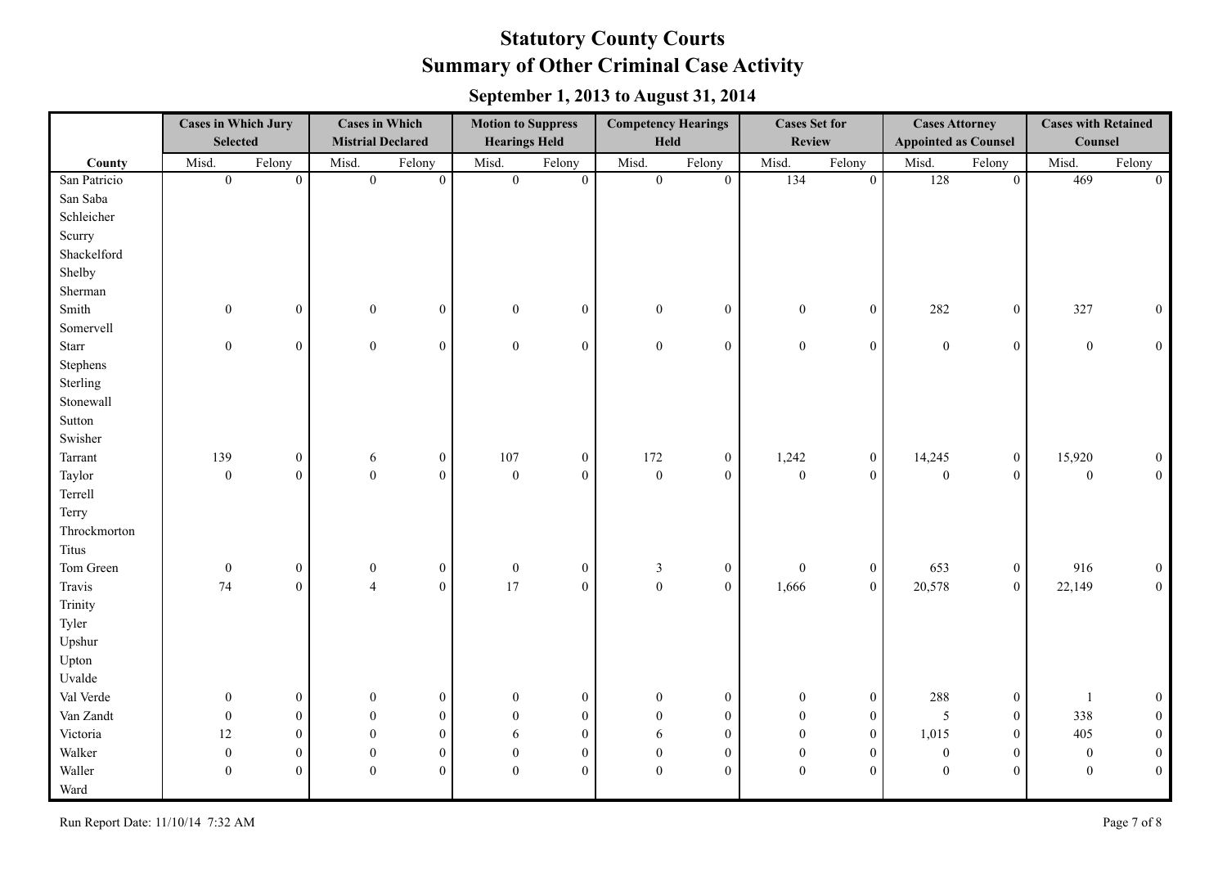|              | <b>Cases in Which Jury</b><br><b>Selected</b> |                  |                  | <b>Cases in Which</b><br><b>Mistrial Declared</b> |                  | <b>Motion to Suppress</b><br><b>Hearings Held</b> |                  | <b>Competency Hearings</b><br>Held |                  | <b>Cases Set for</b><br><b>Review</b> | <b>Cases Attorney</b><br><b>Appointed as Counsel</b> |                  | <b>Cases with Retained</b><br>Counsel |                  |
|--------------|-----------------------------------------------|------------------|------------------|---------------------------------------------------|------------------|---------------------------------------------------|------------------|------------------------------------|------------------|---------------------------------------|------------------------------------------------------|------------------|---------------------------------------|------------------|
| County       | Misd.                                         | Felony           | Misd.            | Felony                                            | Misd.            | Felony                                            | Misd.            | Felony                             | Misd.            | Felony                                | Misd.                                                | Felony           | Misd.                                 | Felony           |
| San Patricio | $\overline{0}$                                | $\mathbf{0}$     | $\overline{0}$   | $\overline{0}$                                    | $\overline{0}$   | $\theta$                                          | $\mathbf{0}$     | $\overline{0}$                     | 134              | $\mathbf{0}$                          | 128                                                  | $\overline{0}$   | 469                                   | $\overline{0}$   |
| San Saba     |                                               |                  |                  |                                                   |                  |                                                   |                  |                                    |                  |                                       |                                                      |                  |                                       |                  |
| Schleicher   |                                               |                  |                  |                                                   |                  |                                                   |                  |                                    |                  |                                       |                                                      |                  |                                       |                  |
| Scurry       |                                               |                  |                  |                                                   |                  |                                                   |                  |                                    |                  |                                       |                                                      |                  |                                       |                  |
| Shackelford  |                                               |                  |                  |                                                   |                  |                                                   |                  |                                    |                  |                                       |                                                      |                  |                                       |                  |
| Shelby       |                                               |                  |                  |                                                   |                  |                                                   |                  |                                    |                  |                                       |                                                      |                  |                                       |                  |
| Sherman      |                                               |                  |                  |                                                   |                  |                                                   |                  |                                    |                  |                                       |                                                      |                  |                                       |                  |
| Smith        | $\boldsymbol{0}$                              | $\overline{0}$   | $\boldsymbol{0}$ | $\overline{0}$                                    | $\boldsymbol{0}$ | $\boldsymbol{0}$                                  | $\mathbf{0}$     | $\boldsymbol{0}$                   | $\boldsymbol{0}$ | $\boldsymbol{0}$                      | 282                                                  | $\boldsymbol{0}$ | 327                                   | $\boldsymbol{0}$ |
| Somervell    |                                               |                  |                  |                                                   |                  |                                                   |                  |                                    |                  |                                       |                                                      |                  |                                       |                  |
| <b>Starr</b> | $\boldsymbol{0}$                              | $\overline{0}$   | $\mathbf{0}$     | $\overline{0}$                                    | $\boldsymbol{0}$ | $\mathbf{0}$                                      | $\boldsymbol{0}$ | $\mathbf{0}$                       | $\boldsymbol{0}$ | $\overline{0}$                        | $\boldsymbol{0}$                                     | $\boldsymbol{0}$ | $\boldsymbol{0}$                      | $\mathbf{0}$     |
| Stephens     |                                               |                  |                  |                                                   |                  |                                                   |                  |                                    |                  |                                       |                                                      |                  |                                       |                  |
| Sterling     |                                               |                  |                  |                                                   |                  |                                                   |                  |                                    |                  |                                       |                                                      |                  |                                       |                  |
| Stonewall    |                                               |                  |                  |                                                   |                  |                                                   |                  |                                    |                  |                                       |                                                      |                  |                                       |                  |
| Sutton       |                                               |                  |                  |                                                   |                  |                                                   |                  |                                    |                  |                                       |                                                      |                  |                                       |                  |
| Swisher      |                                               |                  |                  |                                                   |                  |                                                   |                  |                                    |                  |                                       |                                                      |                  |                                       |                  |
| Tarrant      | 139                                           | $\overline{0}$   | 6                | $\boldsymbol{0}$                                  | 107              | $\boldsymbol{0}$                                  | 172              | $\overline{0}$                     | 1,242            | $\boldsymbol{0}$                      | 14,245                                               | $\boldsymbol{0}$ | 15,920                                | $\boldsymbol{0}$ |
| Taylor       | $\boldsymbol{0}$                              | $\mathbf{0}$     | $\boldsymbol{0}$ | $\mathbf{0}$                                      | $\mathbf{0}$     | $\mathbf{0}$                                      | $\boldsymbol{0}$ | $\overline{0}$                     | $\boldsymbol{0}$ | $\overline{0}$                        | $\boldsymbol{0}$                                     | $\mathbf{0}$     | $\boldsymbol{0}$                      | $\mathbf{0}$     |
| Terrell      |                                               |                  |                  |                                                   |                  |                                                   |                  |                                    |                  |                                       |                                                      |                  |                                       |                  |
| Terry        |                                               |                  |                  |                                                   |                  |                                                   |                  |                                    |                  |                                       |                                                      |                  |                                       |                  |
| Throckmorton |                                               |                  |                  |                                                   |                  |                                                   |                  |                                    |                  |                                       |                                                      |                  |                                       |                  |
| <b>Titus</b> |                                               |                  |                  |                                                   |                  |                                                   |                  |                                    |                  |                                       |                                                      |                  |                                       |                  |
| Tom Green    | $\boldsymbol{0}$                              | $\overline{0}$   | $\boldsymbol{0}$ | $\boldsymbol{0}$                                  | $\boldsymbol{0}$ | $\mathbf{0}$                                      | $\mathfrak{Z}$   | $\boldsymbol{0}$                   | $\boldsymbol{0}$ | $\boldsymbol{0}$                      | 653                                                  | $\boldsymbol{0}$ | 916                                   | $\boldsymbol{0}$ |
| Travis       | 74                                            | $\mathbf{0}$     | $\overline{4}$   | $\mathbf{0}$                                      | 17               | $\mathbf{0}$                                      | $\mathbf{0}$     | $\overline{0}$                     | 1,666            | $\boldsymbol{0}$                      | 20,578                                               | $\boldsymbol{0}$ | 22,149                                | $\boldsymbol{0}$ |
| Trinity      |                                               |                  |                  |                                                   |                  |                                                   |                  |                                    |                  |                                       |                                                      |                  |                                       |                  |
| Tyler        |                                               |                  |                  |                                                   |                  |                                                   |                  |                                    |                  |                                       |                                                      |                  |                                       |                  |
| Upshur       |                                               |                  |                  |                                                   |                  |                                                   |                  |                                    |                  |                                       |                                                      |                  |                                       |                  |
| Upton        |                                               |                  |                  |                                                   |                  |                                                   |                  |                                    |                  |                                       |                                                      |                  |                                       |                  |
| Uvalde       |                                               |                  |                  |                                                   |                  |                                                   |                  |                                    |                  |                                       |                                                      |                  |                                       |                  |
| Val Verde    | $\mathbf{0}$                                  | $\overline{0}$   | $\mathbf{0}$     | $\bf{0}$                                          | $\boldsymbol{0}$ | $\mathbf{0}$                                      | $\overline{0}$   | $\boldsymbol{0}$                   | $\mathbf{0}$     | $\boldsymbol{0}$                      | 288                                                  | $\boldsymbol{0}$ |                                       | $\boldsymbol{0}$ |
| Van Zandt    | $\boldsymbol{0}$                              | $\mathbf{0}$     | $\theta$         | $\boldsymbol{0}$                                  | $\theta$         | $\boldsymbol{0}$                                  | $\theta$         | $\boldsymbol{0}$                   | $\boldsymbol{0}$ | $\boldsymbol{0}$                      | 5                                                    | $\boldsymbol{0}$ | 338                                   | $\boldsymbol{0}$ |
| Victoria     | 12                                            | $\mathbf{0}$     | $\theta$         | $\mathbf{0}$                                      | 6                | $\mathbf{0}$                                      | 6                | $\mathbf{0}$                       | $\theta$         | $\overline{0}$                        | 1,015                                                | $\boldsymbol{0}$ | 405                                   | $\boldsymbol{0}$ |
| Walker       | $\mathbf{0}$                                  | $\boldsymbol{0}$ | $\mathbf{0}$     | $\mathbf{0}$                                      | $\theta$         | $\mathbf{0}$                                      | $\overline{0}$   | $\boldsymbol{0}$                   | $\boldsymbol{0}$ | $\overline{0}$                        | $\boldsymbol{0}$                                     | $\boldsymbol{0}$ | $\mathbf{0}$                          | $\boldsymbol{0}$ |
| Waller       | $\mathbf{0}$                                  | $\mathbf{0}$     | $\theta$         | $\overline{0}$                                    | $\theta$         | $\overline{0}$                                    | $\mathbf{0}$     | $\mathbf{0}$                       | $\boldsymbol{0}$ | $\theta$                              | $\mathbf{0}$                                         | $\boldsymbol{0}$ | $\mathbf{0}$                          | $\boldsymbol{0}$ |
| Ward         |                                               |                  |                  |                                                   |                  |                                                   |                  |                                    |                  |                                       |                                                      |                  |                                       |                  |